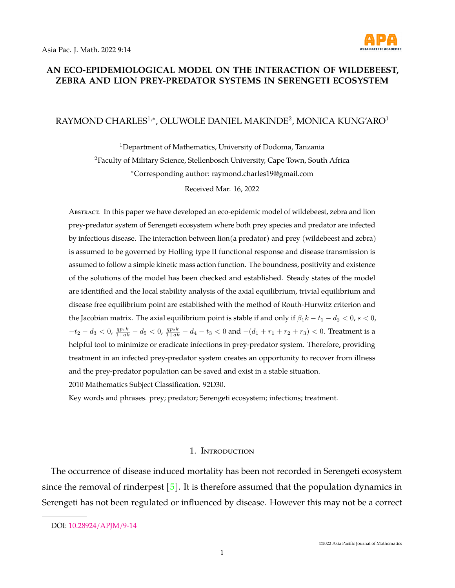

## **AN ECO-EPIDEMIOLOGICAL MODEL ON THE INTERACTION OF WILDEBEEST, ZEBRA AND LION PREY-PREDATOR SYSTEMS IN SERENGETI ECOSYSTEM**

## RAYMOND CHARLES<sup>1,</sup>\*, OLUWOLE DANIEL MAKINDE<sup>2</sup>, MONICA KUNG'ARO<sup>1</sup>

<sup>1</sup>Department of Mathematics, University of Dodoma, Tanzania <sup>2</sup>Faculty of Military Science, Stellenbosch University, Cape Town, South Africa <sup>∗</sup>Corresponding author: raymond.charles19@gmail.com

Received Mar. 16, 2022

Abstract. In this paper we have developed an eco-epidemic model of wildebeest, zebra and lion prey-predator system of Serengeti ecosystem where both prey species and predator are infected by infectious disease. The interaction between lion(a predator) and prey (wildebeest and zebra) is assumed to be governed by Holling type II functional response and disease transmission is assumed to follow a simple kinetic mass action function. The boundness, positivity and existence of the solutions of the model has been checked and established. Steady states of the model are identified and the local stability analysis of the axial equilibrium, trivial equilibrium and disease free equilibrium point are established with the method of Routh-Hurwitz criterion and the Jacobian matrix. The axial equilibrium point is stable if and only if  $\beta_1 k - t_1 - d_2 < 0$ ,  $s < 0$ ,  $-t_2-d_3 < 0$ ,  $\frac{qp_1k}{1+ak} - d_5 < 0$ ,  $\frac{qp_2k}{1+ak} - d_4 - t_3 < 0$  and  $-(d_1 + r_1 + r_2 + r_3) < 0$ . Treatment is a helpful tool to minimize or eradicate infections in prey-predator system. Therefore, providing treatment in an infected prey-predator system creates an opportunity to recover from illness and the prey-predator population can be saved and exist in a stable situation. 2010 Mathematics Subject Classification. 92D30.

Key words and phrases. prey; predator; Serengeti ecosystem; infections; treatment.

#### 1. Introduction

The occurrence of disease induced mortality has been not recorded in Serengeti ecosystem since the removal of rinderpest  $[5]$ . It is therefore assumed that the population dynamics in Serengeti has not been regulated or influenced by disease. However this may not be a correct

DOI: [10.28924/APJM/9-14](https://doi.org/10.28924/APJM/9-14)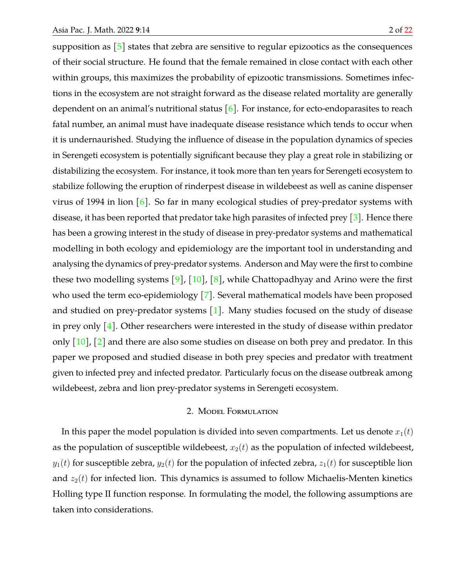supposition as  $\lceil 5 \rceil$  states that zebra are sensitive to regular epizootics as the consequences of their social structure. He found that the female remained in close contact with each other within groups, this maximizes the probability of epizootic transmissions. Sometimes infections in the ecosystem are not straight forward as the disease related mortality are generally dependent on an animal's nutritional status [\[6\]](#page-21-1). For instance, for ecto-endoparasites to reach fatal number, an animal must have inadequate disease resistance which tends to occur when it is undernaurished. Studying the influence of disease in the population dynamics of species in Serengeti ecosystem is potentially significant because they play a great role in stabilizing or distabilizing the ecosystem. For instance, it took more than ten years for Serengeti ecosystem to stabilize following the eruption of rinderpest disease in wildebeest as well as canine dispenser virus of 1994 in lion  $\lceil 6 \rceil$ . So far in many ecological studies of prey-predator systems with disease, it has been reported that predator take high parasites of infected prey  $\lceil 3 \rceil$ . Hence there has been a growing interest in the study of disease in prey-predator systems and mathematical modelling in both ecology and epidemiology are the important tool in understanding and analysing the dynamics of prey-predator systems. Anderson and May were the first to combine these two modelling systems [\[9\]](#page-21-2), [\[10\]](#page-21-3), [\[8\]](#page-21-4), while Chattopadhyay and Arino were the first who used the term eco-epidemiology [\[7\]](#page-21-5). Several mathematical models have been proposed and studied on prey-predator systems  $[1]$ . Many studies focused on the study of disease in prey only  $[4]$ . Other researchers were interested in the study of disease within predator only  $\lceil 10 \rceil$ ,  $\lceil 2 \rceil$  and there are also some studies on disease on both prey and predator. In this paper we proposed and studied disease in both prey species and predator with treatment given to infected prey and infected predator. Particularly focus on the disease outbreak among wildebeest, zebra and lion prey-predator systems in Serengeti ecosystem.

#### 2. Model Formulation

In this paper the model population is divided into seven compartments. Let us denote  $x_1(t)$ as the population of susceptible wildebeest,  $x_2(t)$  as the population of infected wildebeest,  $y_1(t)$  for susceptible zebra,  $y_2(t)$  for the population of infected zebra,  $z_1(t)$  for susceptible lion and  $z_2(t)$  for infected lion. This dynamics is assumed to follow Michaelis-Menten kinetics Holling type II function response. In formulating the model, the following assumptions are taken into considerations.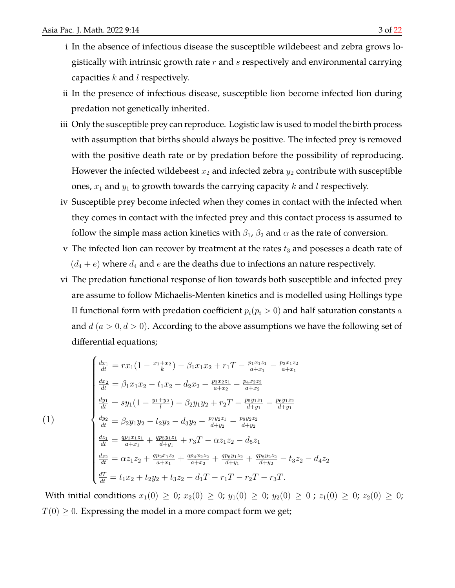- i In the absence of infectious disease the susceptible wildebeest and zebra grows logistically with intrinsic growth rate  $r$  and  $s$  respectively and environmental carrying capacities  $k$  and  $l$  respectively.
- ii In the presence of infectious disease, susceptible lion become infected lion during predation not genetically inherited.
- iii Only the susceptible prey can reproduce. Logistic law is used to model the birth process with assumption that births should always be positive. The infected prey is removed with the positive death rate or by predation before the possibility of reproducing. However the infected wildebeest  $x_2$  and infected zebra  $y_2$  contribute with susceptible ones,  $x_1$  and  $y_1$  to growth towards the carrying capacity k and l respectively.
- iv Susceptible prey become infected when they comes in contact with the infected when they comes in contact with the infected prey and this contact process is assumed to follow the simple mass action kinetics with  $\beta_1$ ,  $\beta_2$  and  $\alpha$  as the rate of conversion.
- v The infected lion can recover by treatment at the rates  $t_3$  and posesses a death rate of  $(d_4 + e)$  where  $d_4$  and e are the deaths due to infections an nature respectively.
- vi The predation functional response of lion towards both susceptible and infected prey are assume to follow Michaelis-Menten kinetics and is modelled using Hollings type II functional form with predation coefficient  $p_i(p_i > 0)$  and half saturation constants a and  $d$  ( $a > 0, d > 0$ ). According to the above assumptions we have the following set of differential equations;

<span id="page-2-0"></span>
$$
\begin{cases}\n\frac{dx_1}{dt} = rx_1(1 - \frac{x_1 + x_2}{k}) - \beta_1 x_1 x_2 + r_1 T - \frac{p_1 x_1 z_1}{a + x_1} - \frac{p_2 x_1 z_2}{a + x_1} \\
\frac{dx_2}{dt} = \beta_1 x_1 x_2 - t_1 x_2 - d_2 x_2 - \frac{p_3 x_2 z_1}{a + x_2} - \frac{p_4 x_2 z_2}{a + x_2} \\
\frac{dy_1}{dt} = sy_1(1 - \frac{y_1 + y_2}{l}) - \beta_2 y_1 y_2 + r_2 T - \frac{p_5 y_1 z_1}{d + y_1} - \frac{p_6 y_1 z_2}{d + y_1} \\
\frac{dy_2}{dt} = \beta_2 y_1 y_2 - t_2 y_2 - d_3 y_2 - \frac{p_7 y_2 z_1}{d + y_2} - \frac{p_8 y_2 z_2}{d + y_2} \\
\frac{dz_1}{dt} = \frac{qp_1 x_1 z_1}{a + x_1} + \frac{qp_5 y_1 z_1}{d + y_1} + r_3 T - \alpha z_1 z_2 - d_5 z_1 \\
\frac{dz_2}{dt} = \alpha z_1 z_2 + \frac{qp_2 x_1 z_2}{a + x_1} + \frac{qp_4 x_2 z_2}{a + x_2} + \frac{qp_6 y_1 z_2}{d + y_1} + \frac{qp_8 y_2 z_2}{d + y_2} - t_3 z_2 - d_4 z_2 \\
\frac{dT}{dt} = t_1 x_2 + t_2 y_2 + t_3 z_2 - d_1 T - r_1 T - r_2 T - r_3 T.\n\end{cases}
$$

With initial conditions  $x_1(0) \ge 0$ ;  $x_2(0) \ge 0$ ;  $y_1(0) \ge 0$ ;  $y_2(0) \ge 0$ ;  $z_1(0) \ge 0$ ;  $z_2(0) \ge 0$ ;  $T(0) \geq 0$ . Expressing the model in a more compact form we get;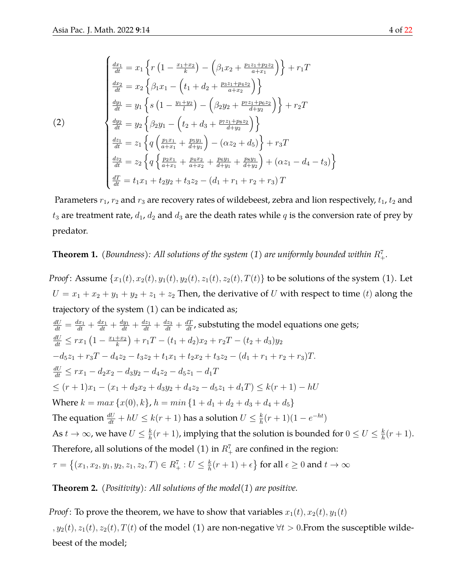$$
\begin{cases}\n\frac{dx_1}{dt} = x_1 \left\{ r \left( 1 - \frac{x_1 + x_2}{k} \right) - \left( \beta_1 x_2 + \frac{p_1 z_1 + p_2 z_2}{a + x_1} \right) \right\} + r_1 T \\
\frac{dx_2}{dt} = x_2 \left\{ \beta_1 x_1 - \left( t_1 + d_2 + \frac{p_3 z_1 + p_4 z_2}{a + x_2} \right) \right\} \\
\frac{dy_1}{dt} = y_1 \left\{ s \left( 1 - \frac{y_1 + y_2}{l} \right) - \left( \beta_2 y_2 + \frac{p_7 z_1 + p_6 z_2}{d + y_2} \right) \right\} + r_2 T\n\end{cases}
$$
\n(2)\n
$$
\begin{cases}\n\frac{dy_2}{dt} = y_2 \left\{ \beta_2 y_1 - \left( t_2 + d_3 + \frac{p_7 z_1 + p_8 z_2}{d + y_2} \right) \right\} \\
\frac{dz_1}{dt} = z_1 \left\{ q \left( \frac{p_1 x_1}{a + x_1} + \frac{p_5 y_1}{d + y_1} \right) - \left( \alpha z_2 + d_5 \right) \right\} + r_3 T \\
\frac{dz_2}{dt} = z_2 \left\{ q \left\{ \frac{p_2 x_1}{a + x_1} + \frac{p_4 x_2}{a + x_2} + \frac{p_6 y_1}{d + y_1} + \frac{p_8 y_1}{d + y_2} \right\} + \left( \alpha z_1 - d_4 - t_3 \right) \right\} \\
\frac{dT}{dt} = t_1 x_1 + t_2 y_2 + t_3 z_2 - \left( d_1 + r_1 + r_2 + r_3 \right) T\n\end{cases}
$$

Parameters  $r_1$ ,  $r_2$  and  $r_3$  are recovery rates of wildebeest, zebra and lion respectively,  $t_1$ ,  $t_2$  and  $t_3$  are treatment rate,  $d_1$ ,  $d_2$  and  $d_3$  are the death rates while  $q$  is the conversion rate of prey by predator.

# **Theorem 1.** (Boundness): All solutions of the system (1) are uniformly bounded within  $R_+^7$ .

*Proof*: Assume  $\{x_1(t), x_2(t), y_1(t), y_2(t), z_1(t), z_2(t), T(t)\}$  to be solutions of the system (1). Let  $U = x_1 + x_2 + y_1 + y_2 + z_1 + z_2$  Then, the derivative of U with respect to time (t) along the trajectory of the system (1) can be indicated as;

$$
\frac{dU}{dt} = \frac{dx_1}{dt} + \frac{dx_1}{dt} + \frac{dy_1}{dt} + \frac{dz_1}{dt} + \frac{dz_3}{dt} + \frac{dT}{dt}
$$
, substituting the model equations one gets;  
\n
$$
\frac{dU}{dt} \leq rx_1 (1 - \frac{x_1 + x_2}{k}) + r_1 T - (t_1 + d_2)x_2 + r_2 T - (t_2 + d_3)y_2
$$
\n
$$
-d_5 z_1 + r_3 T - d_4 z_2 - t_3 z_2 + t_1 x_1 + t_2 x_2 + t_3 z_2 - (d_1 + r_1 + r_2 + r_3)T.
$$
\n
$$
\frac{dU}{dt} \leq rx_1 - d_2 x_2 - d_3 y_2 - d_4 z_2 - d_5 z_1 - d_1 T
$$
\n
$$
\leq (r + 1)x_1 - (x_1 + d_2 x_2 + d_3 y_2 + d_4 z_2 - d_5 z_1 + d_1 T) \leq k(r + 1) - hU
$$
\nWhere  $k = max \{x(0), k\}, h = min \{1 + d_1 + d_2 + d_3 + d_4 + d_5\}$   
\nThe equation  $\frac{dU}{dt} + hU \leq k(r + 1)$  has a solution  $U \leq \frac{k}{h}(r + 1)(1 - e^{-ht})$   
\nAs  $t \to \infty$ , we have  $U \leq \frac{k}{h}(r + 1)$ , implying that the solution is bounded for  $0 \leq U \leq \frac{k}{h}(r + 1)$ .  
\nTherefore, all solutions of the model (1) in  $R_+^T$  are confined in the region:  
\n $\tau = \{(x_1, x_2, y_1, y_2, z_1, z_2, T) \in R_+^T : U \leq \frac{k}{h}(r + 1) + \epsilon\}$  for all  $\epsilon \geq 0$  and  $t \to \infty$ 

## **Theorem 2.** *(Positivity): All solutions of the model(1) are positive.*

*Proof*: To prove the theorem, we have to show that variables  $x_1(t)$ ,  $x_2(t)$ ,  $y_1(t)$ ,  $y_2(t)$ ,  $z_1(t)$ ,  $z_2(t)$ ,  $T(t)$  of the model (1) are non-negative  $\forall t > 0$ . From the susceptible wildebeest of the model;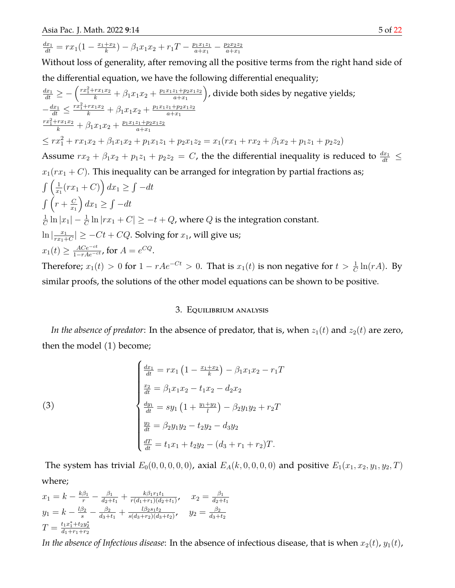$$
\frac{dx_1}{dt} = rx_1\left(1 - \frac{x_1 + x_2}{k}\right) - \beta_1 x_1 x_2 + r_1 T - \frac{p_1 x_1 z_1}{a + x_1} - \frac{p_2 x_2 z_2}{a + x_1}
$$

Without loss of generality, after removing all the positive terms from the right hand side of the differential equation, we have the following differential enequality;

$$
\frac{dx_1}{dt} \geq -\left(\frac{rx_1^2 + rx_1x_2}{k} + \beta_1x_1x_2 + \frac{p_1x_1z_1 + p_2x_1z_2}{a+x_1}\right), \text{divide both sides by negative yields;}
$$
\n
$$
-\frac{dx_1}{dt} \leq \frac{rx_1^2 + rx_1x_2}{k} + \beta_1x_1x_2 + \frac{p_1x_1z_1 + p_2x_1z_2}{a+x_1}
$$
\n
$$
\frac{rx_1^2 + rx_1x_2}{k} + \beta_1x_1x_2 + \frac{p_1x_1z_1 + p_2x_1z_2}{a+x_1}
$$
\n
$$
\leq rx_1^2 + rx_1x_2 + \beta_1x_1x_2 + p_1x_1z_1 + p_2x_1z_2 = x_1(rx_1 + rx_2 + \beta_1x_2 + p_1z_1 + p_2z_2)
$$
\nAssume  $rx_2 + \beta_1x_2 + p_1z_1 + p_2z_2 = C$ , the the differential inequality is reduced to  $\frac{dx_1}{dt} \leq x_1(rx_1 + C)$ . This inequality can be arranged for integration by partial fractions as; 
$$
\int \left(\frac{1}{x_1}(rx_1 + C)\right)dx_1 \geq \int -dt
$$
\n
$$
\int \left(r + \frac{C}{x_1}\right)dx_1 \geq \int -dt
$$
\n
$$
\frac{1}{C}\ln|x_1| - \frac{1}{C}\ln|r_1 + C| \geq -t + Q
$$
, where  $Q$  is the integration constant.\n
$$
\ln\left|\frac{x_1}{rx_1 + C}\right| \geq -Ct + CQ
$$
. Solving for  $x_1$ , will give us;  $x_1(t) \geq \frac{ACe^{-ct}}{1-rAe^{-ct}}$ , for  $A = e^{CQ}$ .  
\nTherefore:  $x_1(t) > 0$  for  $1 - rAe^{-Ct} > 0$ . That is  $x_1(t)$  is non negative for  $t > \frac{1}{2}\ln(rA)$ . By

Therefore;  $x_1(t) > 0$  for  $1 - rAe^{-Ct} > 0$ . That is  $x_1(t)$  is non negative for  $t > \frac{1}{C} \ln(rA)$ . By similar proofs, the solutions of the other model equations can be shown to be positive.

## 3. Equilibrium analysis

*In the absence of predator*: In the absence of predator, that is, when  $z_1(t)$  and  $z_2(t)$  are zero, then the model (1) become;

(3)  
\n
$$
\begin{cases}\n\frac{dx_1}{dt} = rx_1 \left(1 - \frac{x_1 + x_2}{k}\right) - \beta_1 x_1 x_2 - r_1 T \\
\frac{x_2}{dt} = \beta_1 x_1 x_2 - t_1 x_2 - d_2 x_2 \\
\frac{dy_1}{dt} = sy_1 \left(1 + \frac{y_1 + y_2}{l}\right) - \beta_2 y_1 y_2 + r_2 T \\
\frac{y_2}{dt} = \beta_2 y_1 y_2 - t_2 y_2 - d_3 y_2 \\
\frac{dT}{dt} = t_1 x_1 + t_2 y_2 - (d_3 + r_1 + r_2) T.\n\end{cases}
$$

The system has trivial  $E_0(0, 0, 0, 0, 0)$ , axial  $E_A(k, 0, 0, 0, 0)$  and positive  $E_1(x_1, x_2, y_1, y_2, T)$ where;

$$
x_1 = k - \frac{k\beta_1}{r} - \frac{\beta_1}{d_2 + t_1} + \frac{k\beta_1 r_1 t_1}{r(d_1 + r_1)(d_2 + t_1)}, \quad x_2 = \frac{\beta_1}{d_2 + t_1}
$$
  
\n
$$
y_1 = k - \frac{l\beta_2}{s} - \frac{\beta_2}{d_3 + t_1} + \frac{l\beta_2 s_1 t_2}{s(d_3 + r_2)(d_3 + t_2)}, \quad y_2 = \frac{\beta_2}{d_3 + t_2}
$$
  
\n
$$
T = \frac{t_1 x_1^* + t_2 y_2^*}{d_1 + r_1 + r_2}
$$

*In the absence of Infectious disease*: In the absence of infectious disease, that is when  $x_2(t)$ ,  $y_1(t)$ ,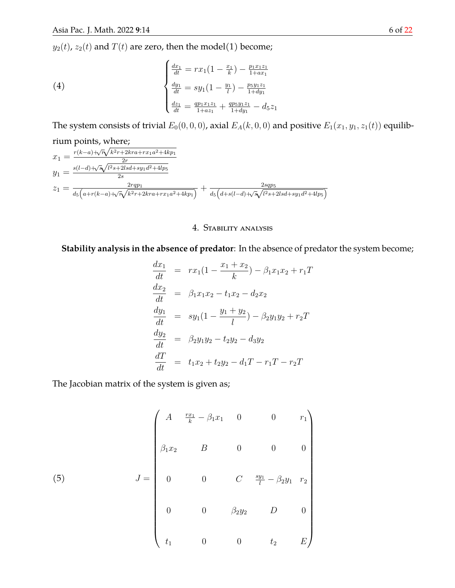$y_{2}(t),\,z_{2}(t)$  and  $T(t)$  are zero, then the model(1) become;

(4)  

$$
\begin{cases}\n\frac{dx_1}{dt} = rx_1(1 - \frac{x_1}{k}) - \frac{p_1x_1z_1}{1+ax_1} \\
\frac{dy_1}{dt} = sy_1(1 - \frac{y_1}{l}) - \frac{p_5y_1z_1}{1+dy_1} \\
\frac{dz_1}{dt} = \frac{qp_1x_1z_1}{1+az_1} + \frac{qp_5y_1z_1}{1+dy_1} - d_5z_1\n\end{cases}
$$

The system consists of trivial  $E_0(0, 0, 0)$ , axial  $E_A(k, 0, 0)$  and positive  $E_1(x_1, y_1, z_1(t))$  equilib-

rium points, where; √

$$
x_1 = \frac{r(k-a)+\sqrt{r}\sqrt{k^2r+2kra+rx_1a^2+4kp_1}}{2r}
$$
  
\n
$$
y_1 = \frac{s(l-d)+\sqrt{s}\sqrt{l^2s+2lsd+sy_1d^2+4lp_5}}{2s}
$$
  
\n
$$
z_1 = \frac{2rqp_1}{d_5\left(a+r(k-a)+\sqrt{r}\sqrt{k^2r+2kra+rx_1a^2+4kp_1}\right)} + \frac{2sqp_5}{d_5\left(d+s(l-d)+\sqrt{s}\sqrt{l^2s+2lsd+sy_1d^2+4lp_5}\right)}
$$

## 4. Stability analysis

**Stability analysis in the absence of predator**: In the absence of predator the system become;

$$
\begin{array}{rcl}\n\frac{dx_1}{dt} & = & rx_1(1 - \frac{x_1 + x_2}{k}) - \beta_1 x_1 x_2 + r_1 T \\
\frac{dx_2}{dt} & = & \beta_1 x_1 x_2 - t_1 x_2 - d_2 x_2 \\
\frac{dy_1}{dt} & = & sy_1(1 - \frac{y_1 + y_2}{l}) - \beta_2 y_1 y_2 + r_2 T \\
\frac{dy_2}{dt} & = & \beta_2 y_1 y_2 - t_2 y_2 - d_3 y_2 \\
\frac{dT}{dt} & = & t_1 x_2 + t_2 y_2 - d_1 T - r_1 T - r_2 T\n\end{array}
$$

The Jacobian matrix of the system is given as;

(5) 
$$
J = \begin{pmatrix} A & \frac{rx_1}{k} - \beta_1 x_1 & 0 & 0 & r_1 \\ \beta_1 x_2 & B & 0 & 0 & 0 \\ 0 & 0 & C & \frac{sy_1}{l} - \beta_2 y_1 & r_2 \\ 0 & 0 & \beta_2 y_2 & D & 0 \\ t_1 & 0 & 0 & t_2 & E \end{pmatrix}
$$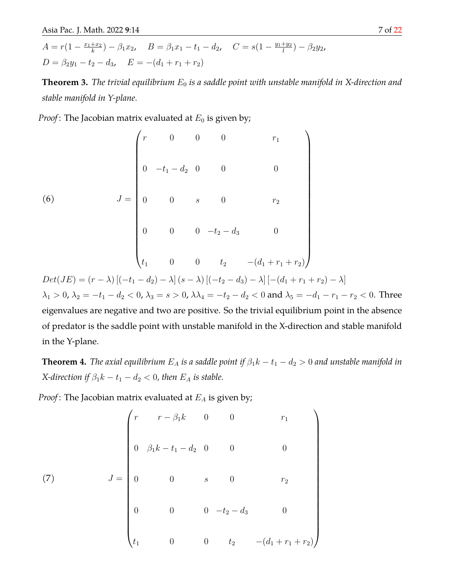$$
A = r(1 - \frac{x_1 + x_2}{k}) - \beta_1 x_2, \quad B = \beta_1 x_1 - t_1 - d_2, \quad C = s(1 - \frac{y_1 + y_2}{l}) - \beta_2 y_2,
$$
  

$$
D = \beta_2 y_1 - t_2 - d_3, \quad E = -(d_1 + r_1 + r_2)
$$

**Theorem 3.** *The trivial equilibrium*  $E_0$  *is a saddle point with unstable manifold in X-direction and stable manifold in Y-plane.*

*Proof*: The Jacobian matrix evaluated at  $E_0$  is given by;

(6)  

$$
J = \begin{pmatrix} r & 0 & 0 & 0 & r_1 \\ 0 & -t_1 - d_2 & 0 & 0 & 0 \\ 0 & 0 & s & 0 & r_2 \\ 0 & 0 & 0 & -t_2 - d_3 & 0 \\ 0 & 0 & 0 & t_2 & -(d_1 + r_1 + r_2) \end{pmatrix}
$$

$$
Det(JE) = (r - \lambda) [(-t_1 - d_2) - \lambda] (s - \lambda) [(-t_2 - d_3) - \lambda] [-(d_1 + r_1 + r_2) - \lambda]
$$

 $\lambda_1 > 0$ ,  $\lambda_2 = -t_1 - d_2 < 0$ ,  $\lambda_3 = s > 0$ ,  $\lambda \lambda_4 = -t_2 - d_2 < 0$  and  $\lambda_5 = -d_1 - r_1 - r_2 < 0$ . Three eigenvalues are negative and two are positive. So the trivial equilibrium point in the absence of predator is the saddle point with unstable manifold in the X-direction and stable manifold in the Y-plane.

**Theorem 4.** *The axial equilibrium*  $E_A$  *is a saddle point if*  $\beta_1 k - t_1 - d_2 > 0$  *and unstable manifold in X*-direction if  $\beta_1 k - t_1 - d_2 < 0$ , then  $E_A$  is stable.

*Proof*: The Jacobian matrix evaluated at  $E_A$  is given by;

(7) 
$$
J = \begin{pmatrix} r & r - \beta_1 k & 0 & 0 & r_1 \\ 0 & \beta_1 k - t_1 - d_2 & 0 & 0 & 0 \\ 0 & 0 & s & 0 & r_2 \\ 0 & 0 & 0 & -t_2 - d_3 & 0 \\ t_1 & 0 & 0 & t_2 & -(d_1 + r_1 + r_2) \end{pmatrix}
$$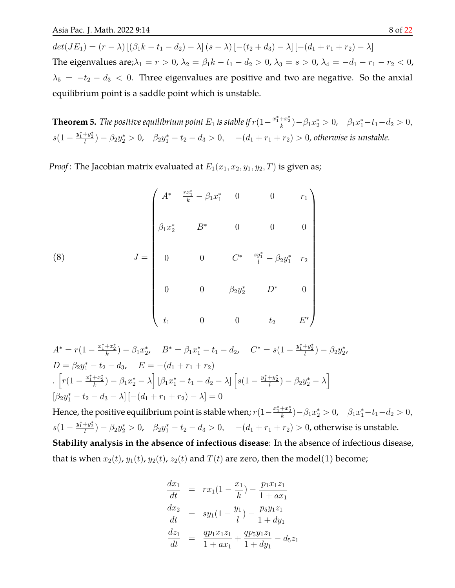$det(JE_1) = (r - \lambda) [(\beta_1 k - t_1 - d_2) - \lambda] (s - \lambda) [-(t_2 + d_3) - \lambda] [-(d_1 + r_1 + r_2) - \lambda]$ The eigenvalues are; $\lambda_1 = r > 0$ ,  $\lambda_2 = \beta_1 k - t_1 - d_2 > 0$ ,  $\lambda_3 = s > 0$ ,  $\lambda_4 = -d_1 - r_1 - r_2 < 0$ ,  $\lambda_5 = -t_2 - d_3 < 0$ . Three eigenvalues are positive and two are negative. So the anxial equilibrium point is a saddle point which is unstable.

**Theorem 5.** *The positive equilibrium point*  $E_1$  *is stable if*  $r(1-\frac{x_1^*+x_2^*}{k})-\beta_1x_2^*>0$ ,  $\beta_1x_1^*-t_1-d_2>0$ ,  $s(1-\frac{y_1^*+y_2^*}{l})-\beta_2y_2^*>0$ ,  $\beta_2y_1^*-t_2-d_3>0$ ,  $-(d_1+r_1+r_2)>0$ , otherwise is unstable.

*Proof*: The Jacobian matrix evaluated at  $E_1(x_1, x_2, y_1, y_2, T)$  is given as;

(8) 
$$
J = \begin{pmatrix} A^* & \frac{rx_1^*}{k} - \beta_1 x_1^* & 0 & 0 & r_1 \\ & & & & & \\ \beta_1 x_2^* & B^* & 0 & 0 & 0 \\ & & & & & \\ 0 & 0 & C^* & \frac{sy_1^*}{l} - \beta_2 y_1^* & r_2 \\ & & & & \\ 0 & 0 & \beta_2 y_2^* & D^* & 0 \\ & & & & \\ t_1 & 0 & 0 & t_2 & E^* \end{pmatrix}
$$

$$
A^* = r(1 - \frac{x_1^* + x_2^*}{k}) - \beta_1 x_2^*, \quad B^* = \beta_1 x_1^* - t_1 - d_2, \quad C^* = s(1 - \frac{y_1^* + y_2^*}{l}) - \beta_2 y_2^*,
$$
  
\n
$$
D = \beta_2 y_1^* - t_2 - d_3, \quad E = -(d_1 + r_1 + r_2)
$$
  
\n
$$
\left[ r(1 - \frac{x_1^* + x_2^*}{k}) - \beta_1 x_2^* - \lambda \right] \left[ \beta_1 x_1^* - t_1 - d_2 - \lambda \right] \left[ s(1 - \frac{y_1^* + y_2^*}{l}) - \beta_2 y_2^* - \lambda \right]
$$
  
\n
$$
\left[ \beta_2 y_1^* - t_2 - d_3 - \lambda \right] \left[ -(d_1 + r_1 + r_2) - \lambda \right] = 0
$$

Hence, the positive equilibrium point is stable when;  $r(1-\frac{x_1^*+x_2^*}{k})-\beta_1x_2^*>0$ ,  $\beta_1x_1^*-t_1-d_2>0$ ,  $s(1-\frac{y_1^*+y_2^*}{l})-\beta_2y_2^*>0$ ,  $\beta_2y_1^*-t_2-d_3>0$ ,  $-(d_1+r_1+r_2)>0$ , otherwise is unstable. **Stability analysis in the absence of infectious disease**: In the absence of infectious disease, that is when  $x_2(t)$ ,  $y_1(t)$ ,  $y_2(t)$ ,  $z_2(t)$  and  $T(t)$  are zero, then the model(1) become;

$$
\frac{dx_1}{dt} = rx_1(1 - \frac{x_1}{k}) - \frac{p_1x_1z_1}{1 + ax_1}
$$
\n
$$
\frac{dx_2}{dt} = sy_1(1 - \frac{y_1}{l}) - \frac{p_5y_1z_1}{1 + dy_1}
$$
\n
$$
\frac{dz_1}{dt} = \frac{qp_1x_1z_1}{1 + ax_1} + \frac{qp_5y_1z_1}{1 + dy_1} - d_5z_1
$$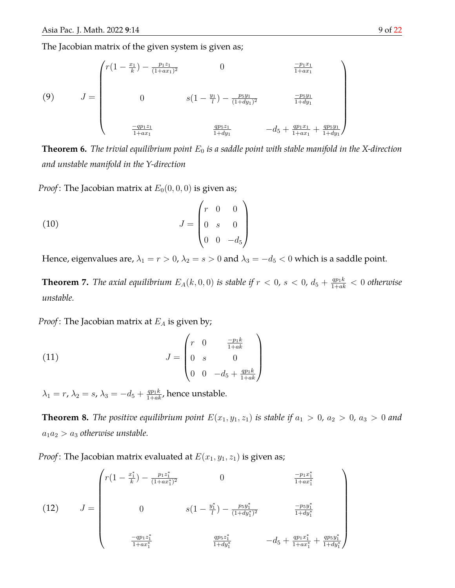The Jacobian matrix of the given system is given as;

(9) 
$$
J = \begin{pmatrix} r(1 - \frac{x_1}{k}) - \frac{p_1 z_1}{(1 + ax_1)^2} & 0 & \frac{-p_1 x_1}{1 + ax_1} \\ 0 & s(1 - \frac{y_1}{l}) - \frac{p_5 y_1}{(1 + dy_1)^2} & \frac{-p_5 y_1}{1 + dy_1} \\ \frac{-qp_1 z_1}{1 + ax_1} & \frac{qp_5 z_1}{1 + dy_1} & -d_5 + \frac{qp_1 x_1}{1 + ax_1} + \frac{qp_5 y_1}{1 + dy_1} \end{pmatrix}
$$

**Theorem 6.** *The trivial equilibrium point*  $E_0$  *is a saddle point with stable manifold in the X-direction and unstable manifold in the Y-direction*

*Proof*: The Jacobian matrix at  $E_0(0, 0, 0)$  is given as;

(10) 
$$
J = \begin{pmatrix} r & 0 & 0 \\ 0 & s & 0 \\ 0 & 0 & -d_5 \end{pmatrix}
$$

Hence, eigenvalues are,  $\lambda_1 = r > 0$ ,  $\lambda_2 = s > 0$  and  $\lambda_3 = -d_5 < 0$  which is a saddle point.

**Theorem 7.** *The axial equilibrium*  $E_A(k, 0, 0)$  *is stable if*  $r < 0$ ,  $s < 0$ ,  $d_5 + \frac{q p_1 k}{1 + a k} < 0$  *otherwise unstable.*

*Proof*: The Jacobian matrix at  $E_A$  is given by;

(11) 
$$
J = \begin{pmatrix} r & 0 & \frac{-p_1 k}{1 + a k} \\ 0 & s & 0 \\ 0 & 0 & -d_5 + \frac{q p_1 k}{1 + a k} \end{pmatrix}
$$

 $\lambda_1=r$ ,  $\lambda_2=s$ ,  $\lambda_3=-d_5+\frac{qp_1k}{1+ak}$ , hence unstable.

**Theorem 8.** *The positive equilibrium point*  $E(x_1, y_1, z_1)$  *is stable if*  $a_1 > 0$ ,  $a_2 > 0$ ,  $a_3 > 0$  and  $a_1a_2 > a_3$  *otherwise unstable.* 

*Proof*: The Jacobian matrix evaluated at  $E(x_1, y_1, z_1)$  is given as;

J = r(1 − x ∗ 1 k ) − p1z ∗ 1 (1+ax<sup>∗</sup> 1 ) <sup>2</sup> 0 −p1x ∗ 1 1+ax<sup>∗</sup> 1 0 s(1 − y ∗ 1 l ) − p5y ∗ 1 (1+dy<sup>∗</sup> 1 ) 2 −p5y ∗ 1 1+dy<sup>∗</sup> 1 −qp1z ∗ 1 1+ax<sup>∗</sup> 1 qp5z ∗ 1 1+dy<sup>∗</sup> 1 −d<sup>5</sup> + qp1x ∗ 1 1+ax<sup>∗</sup> 1 + qp5y ∗ 1 1+dy<sup>∗</sup> 1 (12)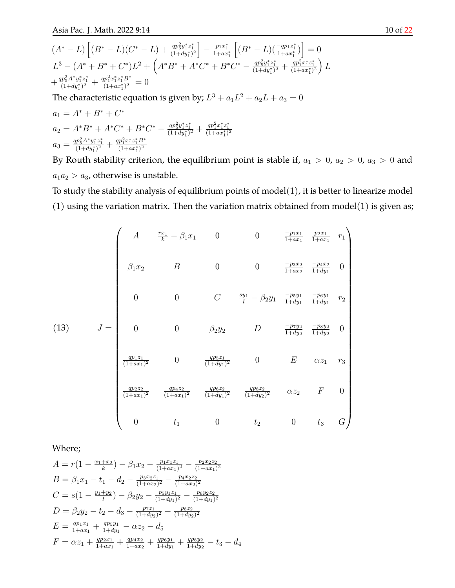$$
(A^* - L) \left[ (B^* - L)(C^* - L) + \frac{qp_5^2 y_1^* z_1^*}{(1 + dy_1^*)^2} \right] - \frac{p_1 x_1^*}{1 + ax_1^*} \left[ (B^* - L)(\frac{-qp_1 z_1^*}{1 + ax_1^*}) \right] = 0
$$
  
\n
$$
L^3 - (A^* + B^* + C^*)L^2 + \left( A^* B^* + A^* C^* + B^* C^* - \frac{qp_5^2 y_1^* z_1^*}{(1 + dy_1^*)^2} + \frac{qp_1^2 x_1^* z_1^*}{(1 + ax_1^*)^2} \right) L
$$
  
\n
$$
+ \frac{qp_5^2 A^* y_1^* z_1^*}{(1 + dy_1^*)^2} + \frac{qp_1^2 x_1^* z_1^* B^*}{(1 + ax_1^*)^2} = 0
$$
  
\nThe characteristic equation is given by;  $L^3 + a_1 L^2 + a_2 L + a_3 = 0$   
\n $a_1 = A^* + B^* + C^*$ 

$$
a_2 = A^*B^* + A^*C^* + B^*C^* - \frac{qp_5^2y_1^*z_1^*}{(1+dy_1^*)^2} + \frac{qp_1^2x_1^*z_1^*}{(1+ax_1^*)^2}
$$
  

$$
a_3 = \frac{qp_5^2A^*y_1^*z_1^*}{(1+dy_1^*)^2} + \frac{qp_1^2x_1^*z_1^*B^*}{(1+ax_1^*)^2}
$$

By Routh stability criterion, the equilibrium point is stable if,  $a_1 > 0$ ,  $a_2 > 0$ ,  $a_3 > 0$  and  $a_1a_2 > a_3$ , otherwise is unstable.

To study the stability analysis of equilibrium points of model(1), it is better to linearize model (1) using the variation matrix. Then the variation matrix obtained from model(1) is given as;

$$
(13) \quad J = \begin{pmatrix} A & \frac{rx_1}{k} - \beta_1 x_1 & 0 & 0 & \frac{-p_1 x_1}{1 + ax_1} & \frac{p_2 x_1}{1 + ax_1} & r_1 \\ \beta_1 x_2 & B & 0 & 0 & \frac{-p_3 x_2}{1 + ax_2} & \frac{-p_4 x_2}{1 + dy_1} & 0 \\ 0 & 0 & C & \frac{sy_1}{l} - \beta_2 y_1 & \frac{-p_5 y_1}{1 + dy_1} & \frac{-p_6 y_1}{1 + dy_1} & r_2 \\ 0 & 0 & \beta_2 y_2 & D & \frac{-p_7 y_2}{1 + dy_2} & \frac{-p_8 y_2}{1 + dy_2} & 0 \\ \frac{qp_1 z_1}{(1 + ax_1)^2} & 0 & \frac{qp_5 z_1}{(1 + dy_1)^2} & 0 & E & \alpha z_1 & r_3 \\ \frac{qp_2 z_2}{(1 + ax_1)^2} & \frac{qp_4 z_2}{(1 + ax_1)^2} & \frac{qp_6 z_2}{(1 + dy_1)^2} & \frac{qp_8 z_2}{(1 + dy_2)^2} & \alpha z_2 & F & 0 \\ 0 & t_1 & 0 & t_2 & 0 & t_3 & G \end{pmatrix}
$$

Where;

$$
A = r(1 - \frac{x_1 + x_2}{k}) - \beta_1 x_2 - \frac{p_1 x_1 z_1}{(1 + ax_1)^2} - \frac{p_2 x_2 z_2}{(1 + ax_1)^2}
$$
  
\n
$$
B = \beta_1 x_1 - t_1 - d_2 - \frac{p_3 x_2 z_1}{(1 + ax_2)^2} - \frac{p_4 x_2 z_2}{(1 + ax_2)^2}
$$
  
\n
$$
C = s(1 - \frac{y_1 + y_2}{l}) - \beta_2 y_2 - \frac{p_5 y_1 z_1}{(1 + dy_1)^2} - \frac{p_6 y_2 z_2}{(1 + dy_1)^2}
$$
  
\n
$$
D = \beta_2 y_2 - t_2 - d_3 - \frac{p_7 z_1}{(1 + dy_2)^2} - \frac{p_8 z_2}{(1 + dy_2)^2}
$$
  
\n
$$
E = \frac{qp_1 x_1}{1 + ax_1} + \frac{qp_5 y_1}{1 + dy_1} - \alpha z_2 - d_5
$$
  
\n
$$
F = \alpha z_1 + \frac{qp_2 x_1}{1 + ax_1} + \frac{qp_4 x_2}{1 + ax_2} + \frac{qp_6 y_1}{1 + dy_1} + \frac{q p_8 y_2}{1 + dy_2} - t_3 - d_4
$$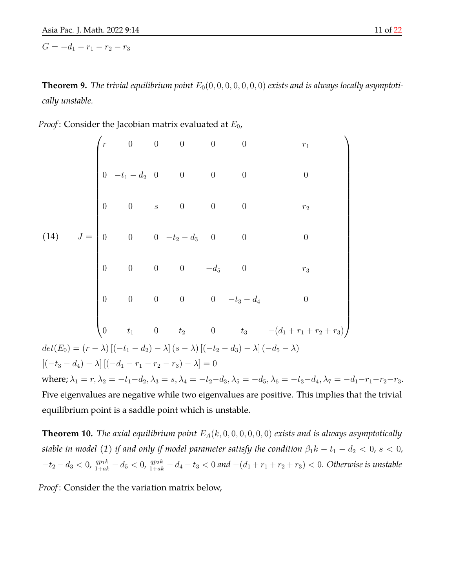$G = -d_1 - r_1 - r_2 - r_3$ 

**Theorem 9.** *The trivial equilibrium point*  $E_0(0, 0, 0, 0, 0, 0, 0)$  *exists and is always locally asymptotically unstable.*

|  | <i>Proof</i> : Consider the Jacobian matrix evaluated at $E_0$ , |  |  |  |  |
|--|------------------------------------------------------------------|--|--|--|--|
|--|------------------------------------------------------------------|--|--|--|--|

$$
(14) \quad J = \begin{pmatrix} r & 0 & 0 & 0 & 0 & 0 & r_1 \\ 0 & -t_1 - d_2 & 0 & 0 & 0 & 0 & 0 & 0 \\ 0 & 0 & s & 0 & 0 & 0 & r_2 \\ 0 & 0 & 0 & -t_2 - d_3 & 0 & 0 & 0 & 0 \\ 0 & 0 & 0 & -d_5 & 0 & r_3 & 0 & 0 \\ 0 & 0 & 0 & 0 & -d_5 & 0 & r_3 & 0 \\ 0 & 0 & 0 & 0 & 0 & -t_3 - d_4 & 0 & 0 \\ 0 & t_1 & 0 & t_2 & 0 & t_3 & -(d_1 + r_1 + r_2 + r_3) & 0 \\ 0 & t_1 & 0 & t_2 & 0 & 0 & 0 & 0 \\ 0 & -t_3 - d_4 & 0 & 0 & 0 & 0 & 0 & 0 \\ 0 & -t_4 - r_1 - r_2 - r_3 & 0 & 0 & 0 & 0 & 0 \\ 0 & -t_5 - d_4 & 0 & 0 & 0 & 0 & 0 & 0 \\ 0 & 0 & 0 & 0 & 0 & 0 & 0 & 0 & 0 \\ 0 & 0 & 0 & 0 & 0 & 0 & 0 & 0 & 0 \\ 0 & 0 & 0 & 0 & 0 & 0 & 0 & 0 & 0 \\ 0 & 0 & 0 & 0 & 0 & 0 & 0 & 0 & 0 \\ 0 & 0 & 0 & 0 & 0 & 0 & 0 & 0 & 0 \\ 0 & 0 & 0 & 0 & 0 & 0 & 0 & 0 & 0 \\ 0 & 0 & 0 & 0 & 0 & 0 & 0 & 0 & 0 \\ 0 & 0 & 0 & 0 & 0 & 0 & 0 & 0 & 0 \\ 0 & 0 & 0 & 0 & 0 & 0 & 0 & 0 & 0 \\ 0 & 0 & 0 & 0 & 0 & 0 & 0 & 0 & 0 \\ 0 & 0 & 0 & 0 & 0 & 0 & 0 & 0 & 0 \\ 0 & 0 & 0 & 0 & 0 & 0 & 0 & 0 & 0 \\ 0 & 0 & 0 & 0 & 0 & 0 & 0 & 0 & 0 \\ 0 & 0 & 0 & 0 & 0 & 0 & 0 & 0 & 0 \\ 0 & 0 & 0 & 0 & 0 & 0 &
$$

**Theorem 10.** *The axial equilibrium point*  $E_A(k, 0, 0, 0, 0, 0, 0)$  *exists and is always asymptotically stable in model* (1) *if and only if model parameter satisfy the condition*  $\beta_1 k - t_1 - d_2 < 0$ , s < 0,  $-t_2-d_3 < 0$ ,  $\frac{qp_1k}{1+ak}-d_5 < 0$ ,  $\frac{qp_2k}{1+ak}-d_4-t_3 < 0$  and  $-(d_1+r_1+r_2+r_3) < 0$ . Otherwise is unstable

*Proof* : Consider the the variation matrix below,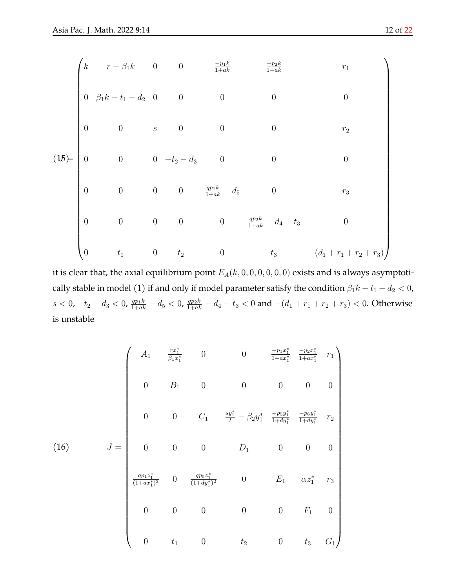$$
\begin{pmatrix}\nk & r - \beta_1 k & 0 & 0 & \frac{-p_1 k}{1 + a k} & \frac{-p_2 k}{1 + a k} & r_1 \\
0 & \beta_1 k - t_1 - d_2 & 0 & 0 & 0 & 0 & 0 \\
0 & 0 & s & 0 & 0 & 0 & r_2\n\end{pmatrix}
$$
\n
$$
(15)
$$
\n
$$
\begin{pmatrix}\n0 & 0 & 0 & -t_2 - d_3 & 0 & 0 & 0 \\
0 & 0 & 0 & \frac{q p_1 k}{1 + a k} - d_5 & 0 & r_3\n\end{pmatrix}
$$
\n
$$
\begin{pmatrix}\n0 & 0 & 0 & 0 & \frac{q p_1 k}{1 + a k} - d_5 & 0 & r_3 \\
0 & 0 & 0 & 0 & \frac{q p_2 k}{1 + a k} - d_4 - t_3 & 0 \\
0 & t_1 & 0 & t_2 & 0 & t_3 & -(d_1 + r_1 + r_2 + r_3)\n\end{pmatrix}
$$

it is clear that, the axial equilibrium point  $E_A(k, 0, 0, 0, 0, 0, 0)$  exists and is always asymptotically stable in model (1) if and only if model parameter satisfy the condition  $\beta_1 k - t_1 - d_2 < 0$ ,  $s < 0$ ,  $-t_2 - d_3 < 0$ ,  $\frac{qp_1k}{1+ak} - d_5 < 0$ ,  $\frac{qp_2k}{1+ak} - d_4 - t_3 < 0$  and  $-(d_1 + r_1 + r_2 + r_3) < 0$ . Otherwise is unstable

$$
(16) \quad J = \begin{pmatrix} A_1 & \frac{rx_1^*}{\beta_1 x_1^*} & 0 & 0 & \frac{-p_1 x_1^*}{1 + ax_1^*} & \frac{-p_2 x_1^*}{1 + ax_1^*} & r_1 \\ & & & & & & \\ 0 & B_1 & 0 & 0 & 0 & 0 & 0 \\ & & & & & & & \\ 0 & 0 & C_1 & \frac{sy_1^*}{l} - \beta_2 y_1^* & \frac{-p_5 y_1^*}{1 + dy_1^*} & \frac{-p_6 y_1^*}{1 + dy_1^*} & r_2 \\ & & & & & & \\ 0 & 0 & 0 & D_1 & 0 & 0 & 0 \\ & & & & & & & \\ \frac{qp_1 z_1^*}{(1 + ax_1^*)^2} & 0 & \frac{qp_5 z_1^*}{(1 + dy_1^*)^2} & 0 & E_1 & \alpha z_1^* & r_3 \\ & & & & & & & \\ 0 & 0 & 0 & 0 & 0 & F_1 & 0 \\ & & & & & & & & \\ 0 & t_1 & 0 & t_2 & 0 & t_3 & G_1 \end{pmatrix}
$$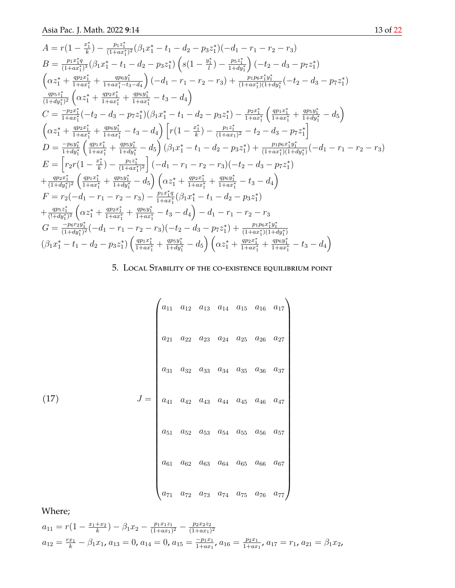$$
A = r(1 - \frac{x_1^*}{k}) - \frac{p_1 z_1^*}{(1 + a x_1^*)^2} (\beta_1 x_1^* - t_1 - d_2 - p_3 z_1^*) (-d_1 - r_1 - r_2 - r_3)
$$
\n
$$
B = \frac{p_1 x_1^* q}{(1 + a x_1^*)^3} (\beta_1 x_1^* - t_1 - d_2 - p_3 z_1^*) \left( s(1 - \frac{y_1^*}{l}) - \frac{p_5 z_1^*}{1 + d x_1^*} \right) (-t_2 - d_3 - p_7 z_1^*)
$$
\n
$$
\left( \alpha z_1^* + \frac{q p_2 x_1^*}{1 + a x_1^*} + \frac{q p_6 y_1^*}{1 + a x_1^* - t_3 - d_4} \right) (-d_1 - r_1 - r_2 - r_3) + \frac{p_1 p_6 x_1^* y_1^*}{(1 + a x_1^*) (1 + d y_1^* ( - t_2 - d_3 - p_7 z_1^*)}
$$
\n
$$
\frac{q p_5 z_1^*}{(1 + d y_1^*)^2} \left( \alpha z_1^* + \frac{q p_2 x_1^*}{1 + a x_1^*} + \frac{q p_6 y_1^*}{1 + a x_1^*} - t_3 - d_4 \right)
$$
\n
$$
C = \frac{-p_2 x_1^*}{1 + a x_1^*} (-t_2 - d_3 - p_7 z_1^*) (\beta_1 x_1^* - t_1 - d_2 - p_3 z_1^*) - \frac{p_2 x_1^*}{1 + a x_1^*} \left( \frac{q p_1 x_1^*}{1 + a x_1^*} + \frac{q p_5 y_1^*}{1 + a x_1^*} - t_3 - d_4 \right) \left[ r(1 - \frac{x_1^*}{k}) - \frac{p_1 z_1^*}{(1 + a x_1^*)^2} - t_2 - d_3 - p_7 z_1^* \right]
$$
\n
$$
D = \frac{-p_6 y_1^*}{1 + d y_1^*} \left( \frac{q p_1 x_1^*}{1 + a x_1^*} + \frac{q p_5 y_1^*}{1 + a x_1^*} - d_5
$$

# 5. Local Stability of the co-existence equilibrium point

$$
(17)
$$
\n
$$
J = \begin{pmatrix}\na_{11} & a_{12} & a_{13} & a_{14} & a_{15} & a_{16} & a_{17} \\
a_{21} & a_{22} & a_{23} & a_{24} & a_{25} & a_{26} & a_{27} \\
a_{31} & a_{32} & a_{33} & a_{34} & a_{35} & a_{36} & a_{37} \\
a_{41} & a_{42} & a_{43} & a_{44} & a_{45} & a_{46} & a_{47} \\
a_{51} & a_{52} & a_{53} & a_{54} & a_{55} & a_{56} & a_{57} \\
a_{61} & a_{62} & a_{63} & a_{64} & a_{65} & a_{66} & a_{67} \\
a_{71} & a_{72} & a_{73} & a_{74} & a_{75} & a_{76} & a_{77}\n\end{pmatrix}
$$

Where;

$$
a_{11} = r\left(1 - \frac{x_1 + x_2}{k}\right) - \beta_1 x_2 - \frac{p_1 x_1 z_1}{(1 + ax_1)^2} - \frac{p_2 x_2 z_2}{(1 + ax_1)^2}
$$
  

$$
a_{12} = \frac{rx_1}{k} - \beta_1 x_1, a_{13} = 0, a_{14} = 0, a_{15} = \frac{-p_1 x_1}{1 + ax_1}, a_{16} = \frac{p_2 x_1}{1 + ax_1}, a_{17} = r_1, a_{21} = \beta_1 x_2,
$$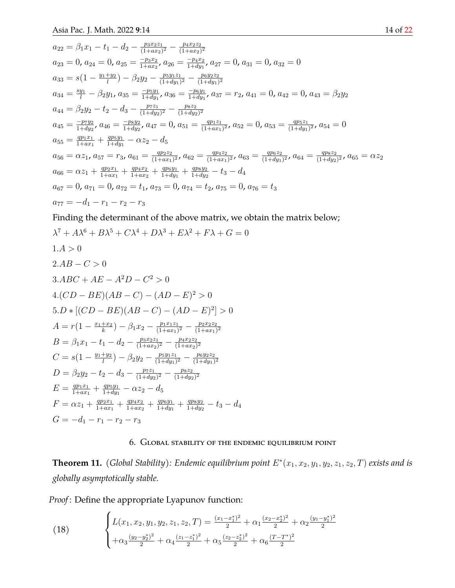$$
a_{22} = \beta_1 x_1 - t_1 - d_2 - \frac{p_3 x_2 z_1}{(1 + a x_2)^2} - \frac{p_4 x_2 z_2}{(1 + a x_2)^2}
$$
  
\n
$$
a_{23} = 0, a_{24} = 0, a_{25} = \frac{-p_3 x_2}{1 + a x_2}, a_{26} = \frac{-p_4 x_2}{1 + d y_1}, a_{27} = 0, a_{31} = 0, a_{32} = 0
$$
  
\n
$$
a_{33} = s(1 - \frac{y_1 + y_2}{l}) - \beta_2 y_2 - \frac{p_5 y_1 z_1}{(1 + d y_1)^2} - \frac{p_6 y_2 z_2}{(1 + d y_1)^2}
$$
  
\n
$$
a_{34} = \frac{s y_1}{l} - \beta_2 y_1, a_{35} = \frac{-p_5 y_1}{1 + d y_1}, a_{36} = \frac{-p_6 y_1}{1 + d y_1}, a_{37} = r_2, a_{41} = 0, a_{42} = 0, a_{43} = \beta_2 y_2
$$
  
\n
$$
a_{44} = \beta_2 y_2 - t_2 - d_3 - \frac{p_7 z_1}{(1 + d y_2)^2} - \frac{p_8 z_2}{(1 + d y_2)^2}
$$
  
\n
$$
a_{45} = \frac{-p_7 y_2}{1 + d y_2}, a_{46} = \frac{-p_8 y_2}{1 + d y_2}, a_{47} = 0, a_{51} = \frac{q p_1 z_1}{(1 + a x_1)^2}, a_{52} = 0, a_{53} = \frac{q p_5 z_1}{(1 + d y_1)^2}, a_{54} = 0
$$
  
\n
$$
a_{55} = \frac{q p_1 x_1}{1 + a x_1} + \frac{q p_5 y_1}{1 + d y_1} - \alpha z_2 - d_5
$$
  
\n
$$
a_{56} = \alpha z_1, a_{57} = r_3, a_{61} = \frac{q p_2 z_2}{(1 + a x_1)^2}, a_{62} = \frac{q p_4 z_2}{(1 + a x_1)^2}, a_{63} = \frac{q p
$$

Finding the determinant of the above matrix, we obtain the matrix below;

$$
\lambda^{7} + A\lambda^{6} + B\lambda^{5} + C\lambda^{4} + D\lambda^{3} + E\lambda^{2} + F\lambda + G = 0
$$
  
\n
$$
1.A > 0
$$
  
\n
$$
2.AB - C > 0
$$
  
\n
$$
3.ABC + AE - A^{2}D - C^{2} > 0
$$
  
\n
$$
4.(CD - BE)(AB - C) - (AD - E)^{2} > 0
$$
  
\n
$$
5.D * [(CD - BE)(AB - C) - (AD - E)^{2}] > 0
$$
  
\n
$$
A = r(1 - \frac{x_{1} + x_{2}}{k}) - \beta_{1}x_{2} - \frac{p_{1}x_{1}z_{1}}{(1 + ax_{1})^{2}} - \frac{p_{2}x_{2}z_{2}}{(1 + ax_{1})^{2}}
$$
  
\n
$$
B = \beta_{1}x_{1} - t_{1} - d_{2} - \frac{p_{3}x_{2}z_{1}}{(1 + ax_{2})^{2}} - \frac{p_{4}x_{2}z_{2}}{(1 + ax_{2})^{2}}
$$
  
\n
$$
C = s(1 - \frac{y_{1} + y_{2}}{l}) - \beta_{2}y_{2} - \frac{p_{5}y_{1}z_{1}}{(1 + dy_{1})^{2}} - \frac{p_{6}y_{2}z_{2}}{(1 + dy_{1})^{2}}
$$
  
\n
$$
D = \beta_{2}y_{2} - t_{2} - d_{3} - \frac{p_{7}z_{1}}{(1 + dy_{2})^{2}} - \frac{p_{8}z_{2}}{(1 + dy_{2})^{2}}
$$
  
\n
$$
E = \frac{qp_{1}x_{1}}{1 + ax_{1}} + \frac{qp_{5}y_{1}}{1 + dy_{1}} - \alpha z_{2} - d_{5}
$$
  
\n
$$
F = \alpha z_{1} + \frac{qp_{2}x_{1}}{1 + ax_{1}} + \frac{qp_{4}x_{2}}{1 + ax_{2}} + \frac{qp_{6}y_{1}}{1 + dy_{1}} + \frac{qp_{8}y_{2}}{1 + dy_{2}} - t_{3} - d_{4}
$$
  
\n
$$
G = -d_{1} - r_{1} - r_{2} - r_{3}
$$

## 6. Global stability of the endemic equilibrium point

**Theorem 11.** (Global Stability): Endemic equilibrium point  $E^*(x_1, x_2, y_1, y_2, z_1, z_2, T)$  exists and is *globally asymptotically stable.*

*Proof* : Define the appropriate Lyapunov function:

(18) 
$$
\begin{cases} L(x_1, x_2, y_1, y_2, z_1, z_2, T) = \frac{(x_1 - x_1^*)^2}{2} + \alpha_1 \frac{(x_2 - x_2^*)^2}{2} + \alpha_2 \frac{(y_1 - y_1^*)^2}{2} \\ + \alpha_3 \frac{(y_2 - y_2^*)^2}{2} + \alpha_4 \frac{(z_1 - z_1^*)^2}{2} + \alpha_5 \frac{(z_2 - z_2^*)^2}{2} + \alpha_6 \frac{(T - T^*)^2}{2} \end{cases}
$$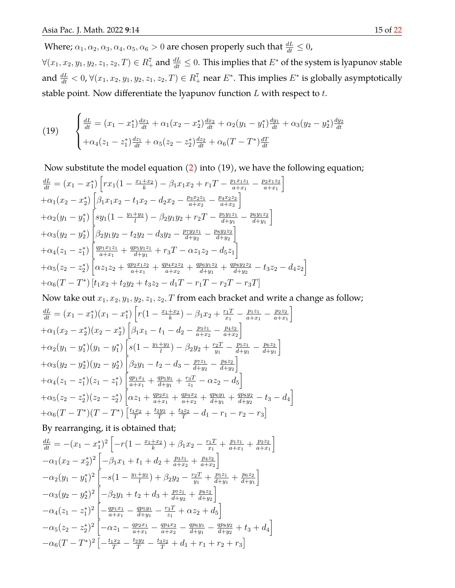Where;  $\alpha_1, \alpha_2, \alpha_3, \alpha_4, \alpha_5, \alpha_6 > 0$  are chosen properly such that  $\frac{dL}{dt} \leq 0$ ,

 $\forall (x_1,x_2,y_1,y_2,z_1,z_2,T)\in R_+^7$  and  $\frac{dL}{dt}\leq 0.$  This implies that  $E^*$  of the system is lyapunov stable and  $\frac{dL}{dt} < 0$ ,  $\forall (x_1, x_2, y_1, y_2, z_1, z_2, T) \in R_+^7$  near  $E^*.$  This implies  $E^*$  is globally asymptotically stable point. Now differentiate the lyapunov function  $L$  with respect to  $t$ .

(19) 
$$
\begin{cases} \frac{dL}{dt} = (x_1 - x_1^*) \frac{dx_1}{dt} + \alpha_1 (x_2 - x_2^*) \frac{dx_2}{dt} + \alpha_2 (y_1 - y_1^*) \frac{dy_1}{dt} + \alpha_3 (y_2 - y_2^*) \frac{dy_2}{dt} \\ + \alpha_4 (z_1 - z_1^*) \frac{dz_1}{dt} + \alpha_5 (z_2 - z_2^*) \frac{dz_2}{dt} + \alpha_6 (T - T^*) \frac{dT}{dt} \end{cases}
$$

Now substitute the model equation [\(2\)](#page-2-0) into (19), we have the following equation;

$$
\frac{dL}{dt} = (x_1 - x_1^*) \left[ rx_1(1 - \frac{x_1 + x_2}{k}) - \beta_1 x_1 x_2 + r_1 T - \frac{p_1 x_1 z_1}{a + x_1} - \frac{p_2 x_1 z_2}{a + x_1} \right] \n+ \alpha_1 (x_2 - x_2^*) \left[ \beta_1 x_1 x_2 - t_1 x_2 - d_2 x_2 - \frac{p_3 x_2 z_1}{a + x_2} - \frac{p_4 x_2 z_2}{a + x_2} \right] \n+ \alpha_2 (y_1 - y_1^*) \left[ sy_1(1 - \frac{y_1 + y_2}{l}) - \beta_2 y_1 y_2 + r_2 T - \frac{p_5 y_1 z_1}{d + y_1} - \frac{p_6 y_1 z_2}{d + y_1} \right] \n+ \alpha_3 (y_2 - y_2^*) \left[ \beta_2 y_1 y_2 - t_2 y_2 - d_3 y_2 - \frac{p_7 y_2 z_1}{d + y_2} - \frac{p_8 y_2 z_2}{d + y_2} \right] \n+ \alpha_4 (z_1 - z_1^*) \left[ \frac{qp_1 x_1 z_1}{a + x_1} + \frac{qp_5 y_1 z_1}{d + y_1} + r_3 T - \alpha z_1 z_2 - d_5 z_1 \right] \n+ \alpha_5 (z_2 - z_2^*) \left[ \alpha z_1 z_2 + \frac{qp_2 x_1 z_2}{a + x_1} + \frac{qp_4 x_2 z_2}{a + x_2} + \frac{qp_6 y_1 z_2}{d + y_1} + \frac{qp_8 y_2 z_2}{d + y_2} - t_3 z_2 - d_4 z_2 \right] \n+ \alpha_6 (T - T^*) \left[ t_1 x_2 + t_2 y_2 + t_3 z_2 - d_1 T - r_1 T - r_2 T - r_3 T \right]
$$

Now take out  $x_1, x_2, y_1, y_2, z_1, z_2, T$  from each bracket and write a change as follow;

$$
\frac{dL}{dt} = (x_1 - x_1^*)(x_1 - x_1^*) \left[ r(1 - \frac{x_1 + x_2}{k}) - \beta_1 x_2 + \frac{r_1 T}{x_1} - \frac{p_1 z_1}{a + x_1} - \frac{p_2 z_2}{a + x_1} \right] \n+ \alpha_1 (x_2 - x_2^*)(x_2 - x_2^*) \left[ \beta_1 x_1 - t_1 - d_2 - \frac{p_3 z_1}{a + x_2} - \frac{p_4 z_2}{a + x_2} \right] \n+ \alpha_2 (y_1 - y_1^*)(y_1 - y_1^*) \left[ s(1 - \frac{y_1 + y_2}{l}) - \beta_2 y_2 + \frac{r_2 T}{y_1} - \frac{p_5 z_1}{d + y_1} - \frac{p_6 z_2}{d + y_1} \right] \n+ \alpha_3 (y_2 - y_2^*)(y_2 - y_2^*) \left[ \beta_2 y_1 - t_2 - d_3 - \frac{p_7 z_1}{d + y_2} - \frac{p_8 z_2}{d + y_2} \right] \n+ \alpha_4 (z_1 - z_1^*)(z_1 - z_1^*) \left[ \frac{qp_1 x_1}{a + x_1} + \frac{qp_5 y_1}{d + y_1} + \frac{r_3 T}{z_1} - \alpha z_2 - d_5 \right] \n+ \alpha_5 (z_2 - z_2^*)(z_2 - z_2^*) \left[ \alpha z_1 + \frac{qp_2 x_1}{a + x_1} + \frac{qp_4 x_2}{a + x_2} + \frac{qp_6 y_1}{d + y_1} + \frac{qp_8 y_2}{d + y_2} - t_3 - d_4 \right] \n+ \alpha_6 (T - T^*)(T - T^*) \left[ \frac{t_1 x_2}{T} + \frac{t_2 y_2}{T} + \frac{t_3 z_2}{T} - d_1 - r_1 - r_2 - r_3 \right]
$$

By rearranging, it is obtained that;

$$
\frac{dL}{dt} = -(x_1 - x_1^*)^2 \left[ -r(1 - \frac{x_1 + x_2}{k}) + \beta_1 x_2 - \frac{r_1 T}{x_1} + \frac{p_1 z_1}{a + x_1} + \frac{p_2 z_2}{a + x_1} \right] \n- \alpha_1 (x_2 - x_2^*)^2 \left[ -\beta_1 x_1 + t_1 + d_2 + \frac{p_3 z_1}{a + x_2} + \frac{p_4 z_2}{a + x_2} \right] \n- \alpha_2 (y_1 - y_1^*)^2 \left[ -s(1 - \frac{y_1 + y_2}{l}) + \beta_2 y_2 - \frac{r_2 T}{y_1} + \frac{p_5 z_1}{d + y_1} + \frac{p_6 z_2}{d + y_1} \right] \n- \alpha_3 (y_2 - y_2^*)^2 \left[ -\beta_2 y_1 + t_2 + d_3 + \frac{p_7 z_1}{d + y_2} + \frac{p_8 z_2}{d + y_2} \right] \n- \alpha_4 (z_1 - z_1^*)^2 \left[ -\frac{q p_1 x_1}{a + x_1} - \frac{q p_3 y_1}{d + y_1} - \frac{r_3 T}{z_1} + \alpha z_2 + d_5 \right] \n- \alpha_5 (z_2 - z_2^*)^2 \left[ -\alpha z_1 - \frac{q p_2 x_1}{a + x_1} - \frac{q p_4 x_2}{a + x_2} - \frac{q p_6 y_1}{d + y_1} - \frac{q p_8 y_2}{d + y_2} + t_3 + d_4 \right] \n- \alpha_6 (T - T^*)^2 \left[ -\frac{t_1 x_2}{T} - \frac{t_2 y_2}{T} - \frac{t_3 z_2}{T} + d_1 + r_1 + r_2 + r_3 \right]
$$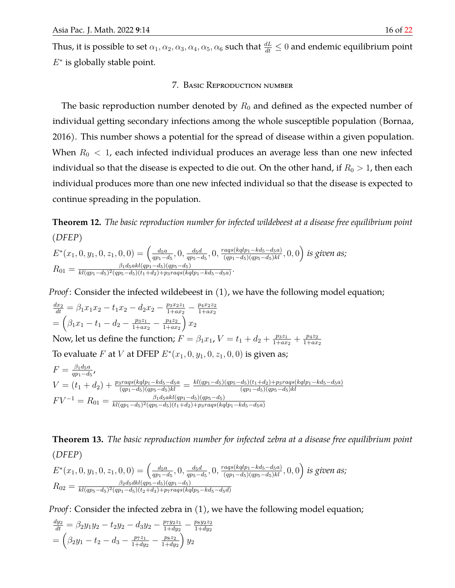Thus, it is possible to set  $\alpha_1,\alpha_2,\alpha_3,\alpha_4,\alpha_5,\alpha_6$  such that  $\frac{dL}{dt}\leq 0$  and endemic equilibrium point  $E^*$  is globally stable point.

### 7. Basic Reproduction number

The basic reproduction number denoted by  $R_0$  and defined as the expected number of individual getting secondary infections among the whole susceptible population (Bornaa, 2016). This number shows a potential for the spread of disease within a given population. When  $R_0 < 1$ , each infected individual produces an average less than one new infected individual so that the disease is expected to die out. On the other hand, if  $R_0 > 1$ , then each individual produces more than one new infected individual so that the disease is expected to continue spreading in the population.

**Theorem 12.** *The basic reproduction number for infected wildebeest at a disease free equilibrium point (DFEP)*

$$
E^*(x_1, 0, y_1, 0, z_1, 0, 0) = \left(\frac{d_5a}{qp_1 - d_5}, 0, \frac{d_5d}{qp_5 - d_5}, 0, \frac{rags(kqlp_1 - kd_5 - d_5a)}{(qp_1 - d_5)(qp_5 - d_5)kl}, 0, 0\right)
$$
 is given as;  
\n
$$
R_{01} = \frac{\beta_1 d_5 \alpha kl(qp_1 - d_5)(qp_5 - d_5)}{kl(qp_1 - d_5)^2 (qp_5 - d_5)(t_1 + d_2) + psrags(kqlp_1 - kd_5 - d_5a)}.
$$

*Proof* : Consider the infected wildebeest in (1), we have the following model equation;

$$
\frac{dx_2}{dt} = \beta_1 x_1 x_2 - t_1 x_2 - d_2 x_2 - \frac{p_3 x_2 z_1}{1 + a x_2} - \frac{p_4 x_2 z_2}{1 + a x_2}
$$
\n
$$
= \left(\beta_1 x_1 - t_1 - d_2 - \frac{p_3 z_1}{1 + a x_2} - \frac{p_4 z_2}{1 + a x_2}\right) x_2
$$

Now, let us define the function;  $F = \beta_1 x_1$ ,  $V = t_1 + d_2 + \frac{p_3 z_1}{1 + a x_1}$  $\frac{p_3z_1}{1+ax_2} + \frac{p_4z_2}{1+ax}$  $_{1+ax_2}$ 

To evaluate F at V at DFEP  $E^*(x_1, 0, y_1, 0, z_1, 0, 0)$  is given as;

$$
F = \frac{\beta_1 d_5 a}{qp_1 - d_5},
$$
  
\n
$$
V = (t_1 + d_2) + \frac{p_3 r a q s (kqlp_1 - k d_5 - d_5 a)}{(qp_1 - d_5)(qp_5 - d_5)kl} = \frac{kl(qp_1 - d_5)(qp_5 - d_5)(t_1 + d_2) + p_3 r a q s (kqlp_1 - k d_5 - d_5 a)}{(qp_1 - d_5)(qp_5 - d_5)kl}
$$
  
\n
$$
FV^{-1} = R_{01} = \frac{\beta_1 d_5 a k l(qp_1 - d_5)(qp_5 - d_5)}{k l(qp_1 - d_5)^2 (qp_5 - d_5)(t_1 + d_2) + p_3 r a q s (kqlp_1 - k d_5 - d_5 a)}
$$

**Theorem 13.** *The basic reproduction number for infected zebra at a disease free equilibrium point (DFEP)*

$$
E^*(x_1, 0, y_1, 0, z_1, 0, 0) = \left(\frac{d_5a}{qp_1 - d_5}, 0, \frac{d_5d}{qp_5 - d_5}, 0, \frac{rags(kqlp_1 - kd_5 - d_5a)}{(qp_1 - d_5)(qp_5 - d_5)kl}, 0, 0\right)
$$
 is given as;  
\n
$$
R_{02} = \frac{\beta_2 d_5dkl(qp_5 - d_5)(qp_1 - d_5)}{kl(qp_5 - d_5)^2(qp_1 - d_5)(tz + d_3) + p_7rags(kqlp_5 - kd_5 - d_5d)}
$$

*Proof* : Consider the infected zebra in (1), we have the following model equation;

$$
\frac{dy_2}{dt} = \beta_2 y_1 y_2 - t_2 y_2 - d_3 y_2 - \frac{p_7 y_2 z_1}{1 + dy_2} - \frac{p_8 y_2 z_2}{1 + dy_2}
$$

$$
= \left(\beta_2 y_1 - t_2 - d_3 - \frac{p_7 z_1}{1 + dy_2} - \frac{p_8 z_2}{1 + dy_2}\right) y_2
$$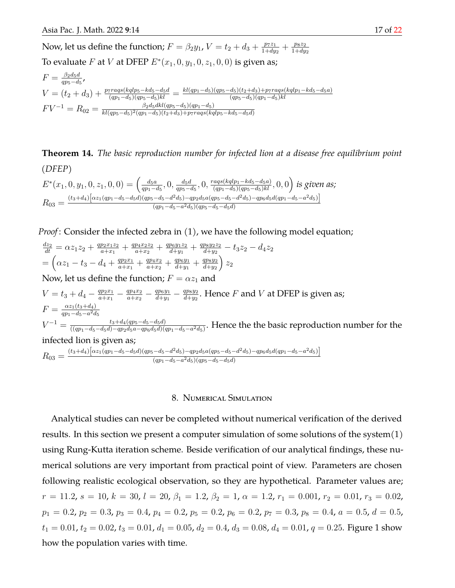Now, let us define the function;  $F = \beta_2 y_1$ ,  $V = t_2 + d_3 + \frac{p_7 z_1}{1 + d u_3}$  $\frac{p_7z_1}{1+dy_2}+\frac{p_8z_2}{1+dy}$  $1+dy_2$ To evaluate F at V at DFEP  $E^*(x_1, 0, y_1, 0, z_1, 0, 0)$  is given as;

$$
F = \frac{\beta_2 d_5 d}{qp_5 - d_5},
$$
  
\n
$$
V = (t_2 + d_3) + \frac{p_7 r a q s (k q l p_5 - k d_5 - d_5 d}{(qp_1 - d_5)(qp_5 - d_5)k l} = \frac{k l (qp_1 - d_5)(qp_5 - d_5)(t_2 + d_3) + p_7 r a q s (k q l p_1 - k d_5 - d_5 a)}{(qp_5 - d_5)(qp_1 - d_5)k l}
$$
  
\n
$$
FV^{-1} = R_{02} = \frac{\beta_2 d_5 d k l (qp_5 - d_5)(qp_1 - d_5)}{k l (qp_5 - d_5)^2 (qp_1 - d_5)(t_2 + d_3) + p_7 r a q s (k q l p_5 - k d_5 - d_5 a)}
$$

**Theorem 14.** *The basic reproduction number for infected lion at a disease free equilibrium point (DFEP)*

$$
E^*(x_1, 0, y_1, 0, z_1, 0, 0) = \left(\frac{d_5a}{qp_1 - d_5}, 0, \frac{d_5d}{qp_5 - d_5}, 0, \frac{rags(kqlp_1 - kd_5 - d_5a)}{(qp_1 - d_5)(qp_5 - d_5)kl}, 0, 0\right)
$$
 is given as;  
\n
$$
R_{03} = \frac{(t_3 + d_4)\left[\alpha z_1(qp_1 - d_5 - d_5d)(qp_5 - d_5 - d^2d_5) - qp_2d_5a(qp_5 - d_5 - d^2d_5) - qp_6d_5d(qp_1 - d_5 - a^2d_5)\right]}{(qp_1 - d_5 - a^2d_5)(qp_5 - d_5 - d_5d)}
$$

*Proof* : Consider the infected zebra in (1), we have the following model equation;

 $\frac{dz_2}{dt} = \alpha z_1 z_2 + \frac{qp_2x_1z_2}{a+x_1}$  $\frac{p_2x_1z_2}{a+x_1}+\frac{qp_4x_2z_2}{a+x_2}$  $\frac{p_4x_2z_2}{a+x_2}+\frac{qp_6y_1z_2}{d+y_1}$  $\frac{p_6y_1z_2}{d+y_1}+\frac{qp_8y_2z_2}{d+y_2}$  $\frac{p_8y_2z_2}{d+y_2}-t_3z_2-d_4z_2$  $=\left(\alpha z_1-t_3-d_4+\frac{qp_2x_1}{q_1+x_1}\right)$  $\frac{qp_2x_1}{a+x_1} + \frac{qp_4x_2}{a+x_2}$  $\frac{qp_4x_2}{a+x_2}+\frac{qp_6y_1}{d+y_1}$  $\frac{qp_6y_1}{d+y_1} + \frac{qp_8y_2}{d+y_2}$  $\frac{d+y_2}{2}$  $\big)$   $z_2$ Now, let us define the function;  $F = \alpha z_1$  and  $V = t_3 + d_4 - \frac{qp_2x_1}{a+x_1}$  $\frac{qp_2x_1}{a+x_1} - \frac{qp_4x_2}{a+x_2}$  $\frac{qp_4x_2}{a+x_2} - \frac{qp_6y_1}{d+y_1}$  $\frac{qp_6y_1}{d+y_1} - \frac{qp_8y_2}{d+y_2}$  $\frac{qp_8y_2}{d+y_2}.$  Hence  $F$  and  $V$  at DFEP is given as;  $F = \frac{\alpha z_1(t_3+d_4)}{a n_1 - d_5 - a^2 d_5}$  $\overline{q p_1 - d_5 - a^2 d_5}$  $V^{-1} = \frac{t_3 + d_4(qp_5 - d_5 - d_5d)}{((qn_1 - d_5 - d_5d) - and_5d - and_5d)}$  $\frac{\iota_3+a_4(qp_5-a_5-a_5a)}{((qp_1-d_5-d_5d)-qp_2d_5a-qp_6d_5d)(qp_1-d_5-a^2d_5)}$ . Hence the the basic reproduction number for the infected lion is given as;  $R_{03} = \frac{(t_3+d_4)\left[\alpha z_1(qp_1-d_5-d_5d)(qp_5-d_5-d^2d_5) - qp_2d_5a(qp_5-d_5-d^2d_5) - qp_6d_5d(qp_1-d_5-a^2d_5)\right]}{(qp_1-d_5-a^2d_5)(qp_5-d_5-d_5d)}$ 

 $(qp_1-d_5-a^2d_5)(qp_5-d_5-d_5d)$ 

#### 8. Numerical Simulation

Analytical studies can never be completed without numerical verification of the derived results. In this section we present a computer simulation of some solutions of the system $(1)$ using Rung-Kutta iteration scheme. Beside verification of our analytical findings, these numerical solutions are very important from practical point of view. Parameters are chosen following realistic ecological observation, so they are hypothetical. Parameter values are;  $r = 11.2$ ,  $s = 10$ ,  $k = 30$ ,  $l = 20$ ,  $\beta_1 = 1.2$ ,  $\beta_2 = 1$ ,  $\alpha = 1.2$ ,  $r_1 = 0.001$ ,  $r_2 = 0.01$ ,  $r_3 = 0.02$ ,  $p_1 = 0.2$ ,  $p_2 = 0.3$ ,  $p_3 = 0.4$ ,  $p_4 = 0.2$ ,  $p_5 = 0.2$ ,  $p_6 = 0.2$ ,  $p_7 = 0.3$ ,  $p_8 = 0.4$ ,  $a = 0.5$ ,  $d = 0.5$ ,  $t_1 = 0.01$ ,  $t_2 = 0.02$ ,  $t_3 = 0.01$ ,  $d_1 = 0.05$ ,  $d_2 = 0.4$ ,  $d_3 = 0.08$ ,  $d_4 = 0.01$ ,  $q = 0.25$ . Figure 1 show how the population varies with time.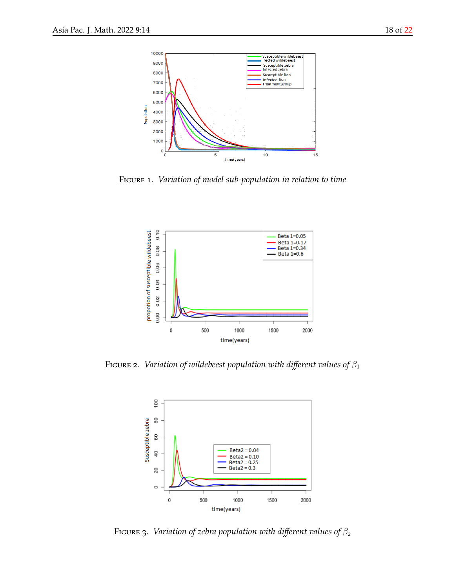

Figure 1. *Variation of model sub-population in relation to time*



FIGURE 2. *Variation of wildebeest population with different values of*  $\beta_1$ 



FIGURE 3. *Variation of zebra population with different values of*  $\beta_2$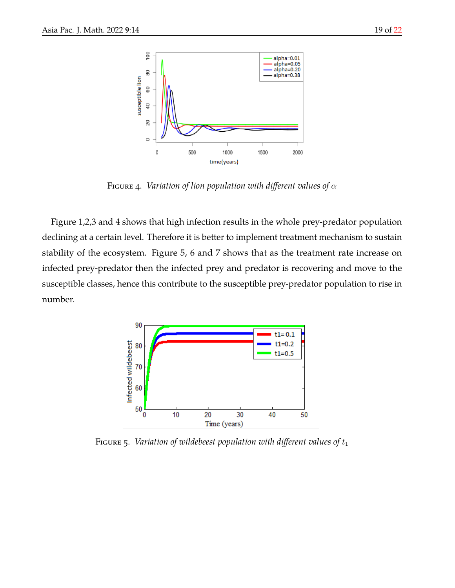

FIGURE 4. *Variation of lion population with different values of*  $\alpha$ 

Figure 1,2,3 and 4 shows that high infection results in the whole prey-predator population declining at a certain level. Therefore it is better to implement treatment mechanism to sustain stability of the ecosystem. Figure 5, 6 and 7 shows that as the treatment rate increase on infected prey-predator then the infected prey and predator is recovering and move to the susceptible classes, hence this contribute to the susceptible prey-predator population to rise in number.



FIGURE 5. *Variation of wildebeest population with different values of*  $t_1$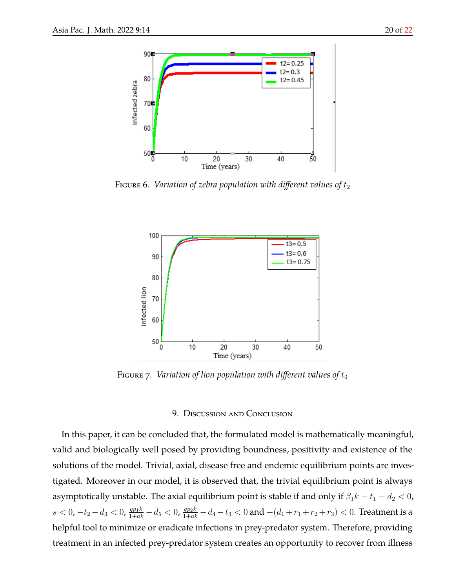

FIGURE 6. *Variation of zebra population with different values of*  $t_2$ 



FIGURE 7. *Variation of lion population with different values of*  $t_3$ 

## 9. Discussion and Conclusion

In this paper, it can be concluded that, the formulated model is mathematically meaningful, valid and biologically well posed by providing boundness, positivity and existence of the solutions of the model. Trivial, axial, disease free and endemic equilibrium points are investigated. Moreover in our model, it is observed that, the trivial equilibrium point is always asymptotically unstable. The axial equilibrium point is stable if and only if  $\beta_1 k - t_1 - d_2 < 0$ ,  $s < 0$ ,  $-t_2-d_3 < 0$ ,  $\frac{qp_1k}{1+ak}-d_5 < 0$ ,  $\frac{qp_2k}{1+ak}-d_4-t_3 < 0$  and  $-(d_1+r_1+r_2+r_3) < 0$ . Treatment is a helpful tool to minimize or eradicate infections in prey-predator system. Therefore, providing treatment in an infected prey-predator system creates an opportunity to recover from illness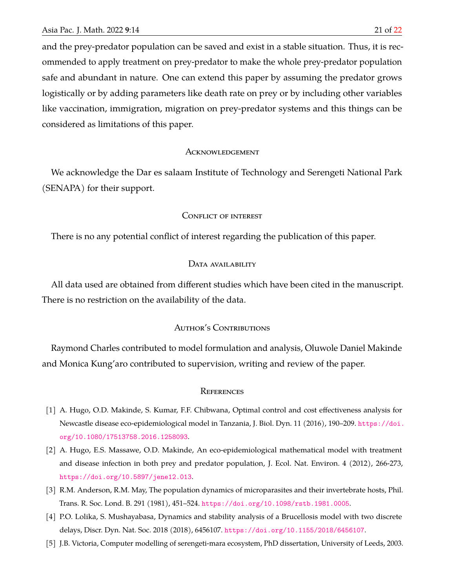and the prey-predator population can be saved and exist in a stable situation. Thus, it is recommended to apply treatment on prey-predator to make the whole prey-predator population safe and abundant in nature. One can extend this paper by assuming the predator grows logistically or by adding parameters like death rate on prey or by including other variables like vaccination, immigration, migration on prey-predator systems and this things can be considered as limitations of this paper.

### **ACKNOWLEDGEMENT**

We acknowledge the Dar es salaam Institute of Technology and Serengeti National Park (SENAPA) for their support.

#### Conflict of interest

There is no any potential conflict of interest regarding the publication of this paper.

### DATA AVAILABILITY

All data used are obtained from different studies which have been cited in the manuscript. There is no restriction on the availability of the data.

## AUTHOR'S CONTRIBUTIONS

Raymond Charles contributed to model formulation and analysis, Oluwole Daniel Makinde and Monica Kung'aro contributed to supervision, writing and review of the paper.

#### **REFERENCES**

- <span id="page-20-2"></span>[1] A. Hugo, O.D. Makinde, S. Kumar, F.F. Chibwana, Optimal control and cost effectiveness analysis for Newcastle disease eco-epidemiological model in Tanzania, J. Biol. Dyn. 11 (2016), 190–209. [https://doi.](https://doi.org/10.1080/17513758.2016.1258093) [org/10.1080/17513758.2016.1258093](https://doi.org/10.1080/17513758.2016.1258093).
- <span id="page-20-4"></span>[2] A. Hugo, E.S. Massawe, O.D. Makinde, An eco-epidemiological mathematical model with treatment and disease infection in both prey and predator population, J. Ecol. Nat. Environ. 4 (2012), 266-273, <https://doi.org/10.5897/jene12.013>.
- <span id="page-20-1"></span>[3] R.M. Anderson, R.M. May, The population dynamics of microparasites and their invertebrate hosts, Phil. Trans. R. Soc. Lond. B. 291 (1981), 451–524. <https://doi.org/10.1098/rstb.1981.0005>.
- <span id="page-20-3"></span>[4] P.O. Lolika, S. Mushayabasa, Dynamics and stability analysis of a Brucellosis model with two discrete delays, Discr. Dyn. Nat. Soc. 2018 (2018), 6456107. <https://doi.org/10.1155/2018/6456107>.
- <span id="page-20-0"></span>[5] J.B. Victoria, Computer modelling of serengeti-mara ecosystem, PhD dissertation, University of Leeds, 2003.